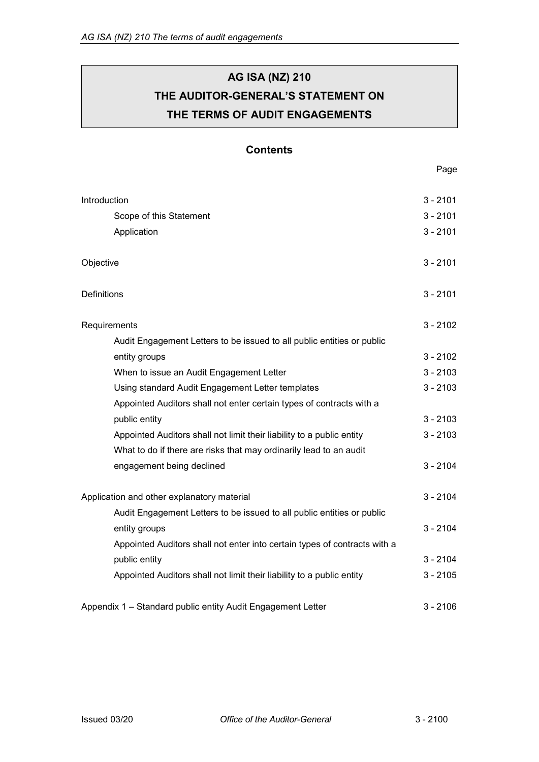# **AG ISA (NZ) 210 THE AUDITOR-GENERAL'S STATEMENT ON THE TERMS OF AUDIT ENGAGEMENTS**

## **Contents**

Page

| Introduction                                                              | $3 - 2101$ |
|---------------------------------------------------------------------------|------------|
| Scope of this Statement                                                   | $3 - 2101$ |
| Application                                                               | $3 - 2101$ |
|                                                                           |            |
| Objective                                                                 | $3 - 2101$ |
|                                                                           |            |
| Definitions                                                               | $3 - 2101$ |
|                                                                           |            |
| Requirements                                                              | $3 - 2102$ |
| Audit Engagement Letters to be issued to all public entities or public    |            |
| entity groups                                                             | $3 - 2102$ |
| When to issue an Audit Engagement Letter                                  | $3 - 2103$ |
| Using standard Audit Engagement Letter templates                          | $3 - 2103$ |
| Appointed Auditors shall not enter certain types of contracts with a      |            |
| public entity                                                             | $3 - 2103$ |
| Appointed Auditors shall not limit their liability to a public entity     | $3 - 2103$ |
| What to do if there are risks that may ordinarily lead to an audit        |            |
| engagement being declined                                                 | $3 - 2104$ |
| Application and other explanatory material                                | $3 - 2104$ |
| Audit Engagement Letters to be issued to all public entities or public    |            |
| entity groups                                                             | $3 - 2104$ |
| Appointed Auditors shall not enter into certain types of contracts with a |            |
|                                                                           | $3 - 2104$ |
| public entity                                                             |            |
| Appointed Auditors shall not limit their liability to a public entity     | $3 - 2105$ |
| Appendix 1 - Standard public entity Audit Engagement Letter               | $3 - 2106$ |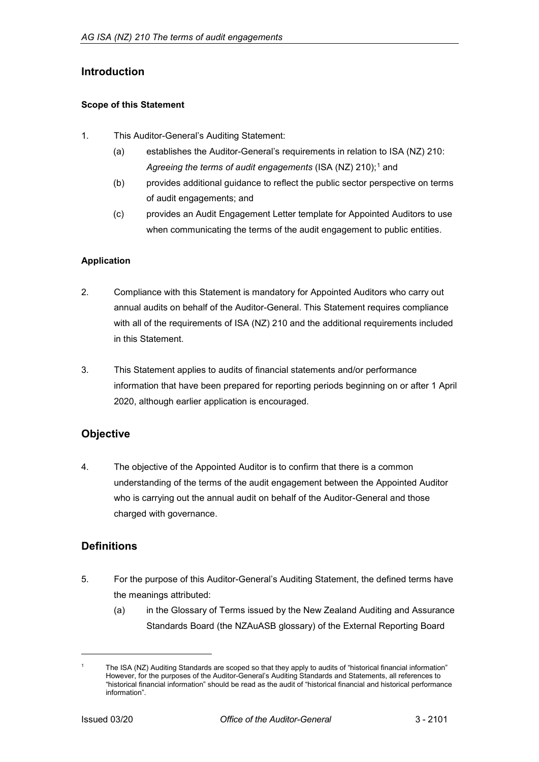## <span id="page-1-0"></span>**Introduction**

### <span id="page-1-1"></span>**Scope of this Statement**

- 1. This Auditor-General's Auditing Statement:
	- (a) establishes the Auditor-General's requirements in relation to ISA (NZ) 210: Agreeing the terms of audit engagements (ISA (NZ) 2[1](#page-1-5)0);<sup>1</sup> and
	- (b) provides additional guidance to reflect the public sector perspective on terms of audit engagements; and
	- (c) provides an Audit Engagement Letter template for Appointed Auditors to use when communicating the terms of the audit engagement to public entities.

## <span id="page-1-2"></span>**Application**

- 2. Compliance with this Statement is mandatory for Appointed Auditors who carry out annual audits on behalf of the Auditor-General. This Statement requires compliance with all of the requirements of ISA (NZ) 210 and the additional requirements included in this Statement.
- 3. This Statement applies to audits of financial statements and/or performance information that have been prepared for reporting periods beginning on or after 1 April 2020, although earlier application is encouraged.

## <span id="page-1-3"></span>**Objective**

4. The objective of the Appointed Auditor is to confirm that there is a common understanding of the terms of the audit engagement between the Appointed Auditor who is carrying out the annual audit on behalf of the Auditor-General and those charged with governance.

## <span id="page-1-4"></span>**Definitions**

- 5. For the purpose of this Auditor-General's Auditing Statement, the defined terms have the meanings attributed:
	- (a) in the Glossary of Terms issued by the New Zealand Auditing and Assurance Standards Board (the NZAuASB glossary) of the External Reporting Board

<span id="page-1-5"></span>The ISA (NZ) Auditing Standards are scoped so that they apply to audits of "historical financial information" However, for the purposes of the Auditor-General's Auditing Standards and Statements, all references to "historical financial information" should be read as the audit of "historical financial and historical performance information".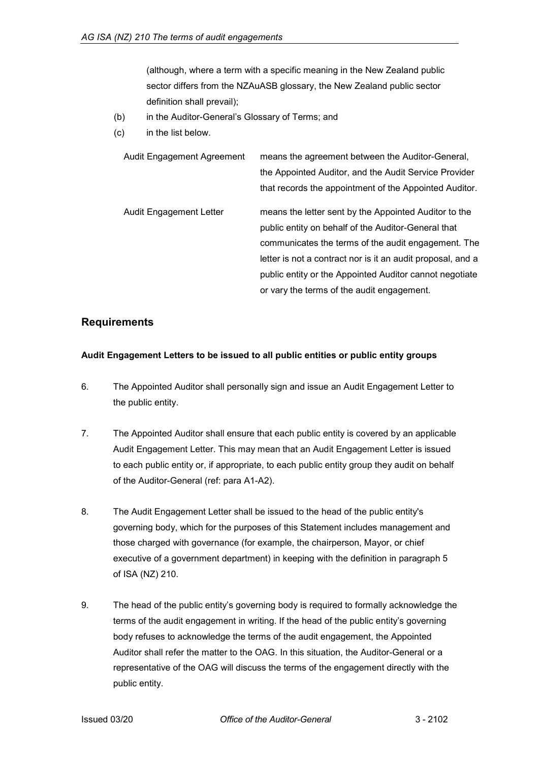(although, where a term with a specific meaning in the New Zealand public sector differs from the NZAuASB glossary, the New Zealand public sector definition shall prevail);

- (b) in the Auditor-General's Glossary of Terms; and
- (c) in the list below.

| Audit Engagement Agreement     | means the agreement between the Auditor-General,            |
|--------------------------------|-------------------------------------------------------------|
|                                | the Appointed Auditor, and the Audit Service Provider       |
|                                | that records the appointment of the Appointed Auditor.      |
| <b>Audit Engagement Letter</b> | means the letter sent by the Appointed Auditor to the       |
|                                | public entity on behalf of the Auditor-General that         |
|                                | communicates the terms of the audit engagement. The         |
|                                | letter is not a contract nor is it an audit proposal, and a |
|                                | public entity or the Appointed Auditor cannot negotiate     |
|                                | or vary the terms of the audit engagement.                  |

### <span id="page-2-0"></span>**Requirements**

### <span id="page-2-1"></span>**Audit Engagement Letters to be issued to all public entities or public entity groups**

- 6. The Appointed Auditor shall personally sign and issue an Audit Engagement Letter to the public entity.
- 7. The Appointed Auditor shall ensure that each public entity is covered by an applicable Audit Engagement Letter. This may mean that an Audit Engagement Letter is issued to each public entity or, if appropriate, to each public entity group they audit on behalf of the Auditor-General (ref: para A1-A2).
- 8. The Audit Engagement Letter shall be issued to the head of the public entity's governing body, which for the purposes of this Statement includes management and those charged with governance (for example, the chairperson, Mayor, or chief executive of a government department) in keeping with the definition in paragraph 5 of ISA (NZ) 210.
- 9. The head of the public entity's governing body is required to formally acknowledge the terms of the audit engagement in writing. If the head of the public entity's governing body refuses to acknowledge the terms of the audit engagement, the Appointed Auditor shall refer the matter to the OAG. In this situation, the Auditor-General or a representative of the OAG will discuss the terms of the engagement directly with the public entity.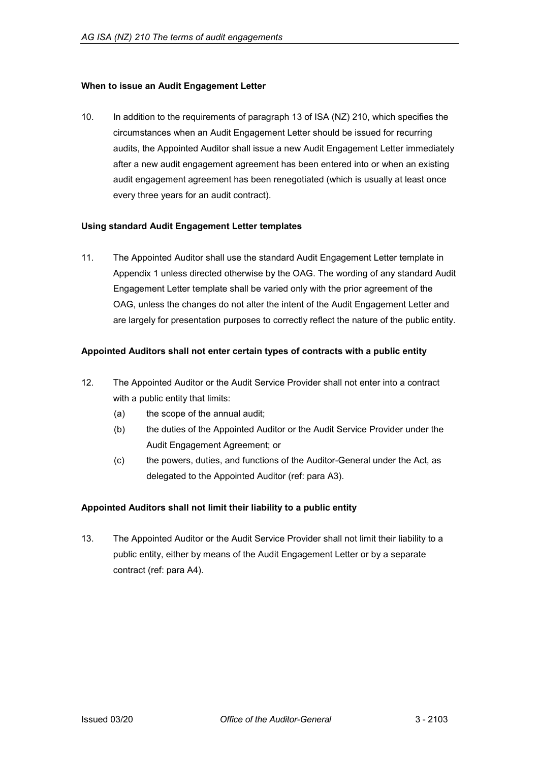### <span id="page-3-0"></span>**When to issue an Audit Engagement Letter**

10. In addition to the requirements of paragraph 13 of ISA (NZ) 210, which specifies the circumstances when an Audit Engagement Letter should be issued for recurring audits, the Appointed Auditor shall issue a new Audit Engagement Letter immediately after a new audit engagement agreement has been entered into or when an existing audit engagement agreement has been renegotiated (which is usually at least once every three years for an audit contract).

### <span id="page-3-1"></span>**Using standard Audit Engagement Letter templates**

11. The Appointed Auditor shall use the standard Audit Engagement Letter template in Appendix 1 unless directed otherwise by the OAG. The wording of any standard Audit Engagement Letter template shall be varied only with the prior agreement of the OAG, unless the changes do not alter the intent of the Audit Engagement Letter and are largely for presentation purposes to correctly reflect the nature of the public entity.

### <span id="page-3-2"></span>**Appointed Auditors shall not enter certain types of contracts with a public entity**

- 12. The Appointed Auditor or the Audit Service Provider shall not enter into a contract with a public entity that limits:
	- (a) the scope of the annual audit;
	- (b) the duties of the Appointed Auditor or the Audit Service Provider under the Audit Engagement Agreement; or
	- (c) the powers, duties, and functions of the Auditor-General under the Act, as delegated to the Appointed Auditor (ref: para A3).

### <span id="page-3-3"></span>**Appointed Auditors shall not limit their liability to a public entity**

13. The Appointed Auditor or the Audit Service Provider shall not limit their liability to a public entity, either by means of the Audit Engagement Letter or by a separate contract (ref: para A4).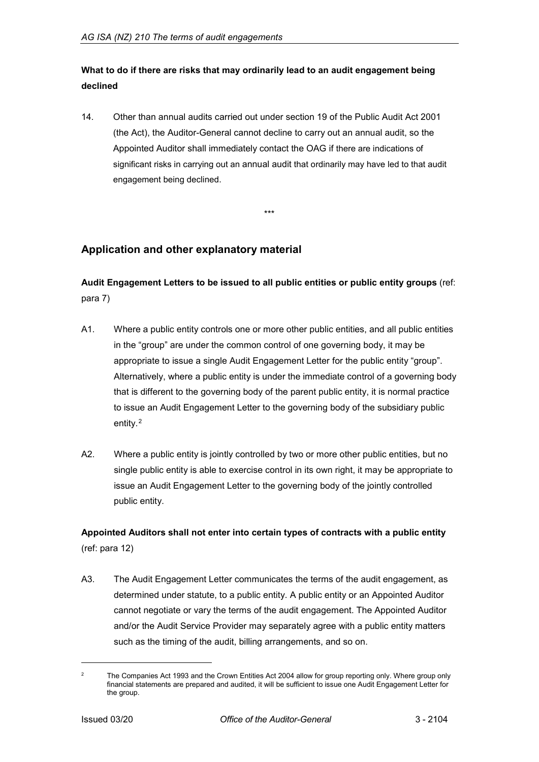## <span id="page-4-0"></span>**What to do if there are risks that may ordinarily lead to an audit engagement being declined**

14. Other than annual audits carried out under section 19 of the Public Audit Act 2001 (the Act), the Auditor-General cannot decline to carry out an annual audit, so the Appointed Auditor shall immediately contact the OAG if there are indications of significant risks in carrying out an annual audit that ordinarily may have led to that audit engagement being declined.

\*\*\*

## <span id="page-4-1"></span>**Application and other explanatory material**

## <span id="page-4-2"></span>**Audit Engagement Letters to be issued to all public entities or public entity groups** (ref: para 7)

- A1. Where a public entity controls one or more other public entities, and all public entities in the "group" are under the common control of one governing body, it may be appropriate to issue a single Audit Engagement Letter for the public entity "group". Alternatively, where a public entity is under the immediate control of a governing body that is different to the governing body of the parent public entity, it is normal practice to issue an Audit Engagement Letter to the governing body of the subsidiary public entity.[2](#page-4-4)
- A2. Where a public entity is jointly controlled by two or more other public entities, but no single public entity is able to exercise control in its own right, it may be appropriate to issue an Audit Engagement Letter to the governing body of the jointly controlled public entity.

## <span id="page-4-3"></span>**Appointed Auditors shall not enter into certain types of contracts with a public entity** (ref: para 12)

A3. The Audit Engagement Letter communicates the terms of the audit engagement, as determined under statute, to a public entity. A public entity or an Appointed Auditor cannot negotiate or vary the terms of the audit engagement. The Appointed Auditor and/or the Audit Service Provider may separately agree with a public entity matters such as the timing of the audit, billing arrangements, and so on.

<span id="page-4-4"></span><sup>&</sup>lt;sup>2</sup> The Companies Act 1993 and the Crown Entities Act 2004 allow for group reporting only. Where group only financial statements are prepared and audited, it will be sufficient to issue one Audit Engagement Letter for the group.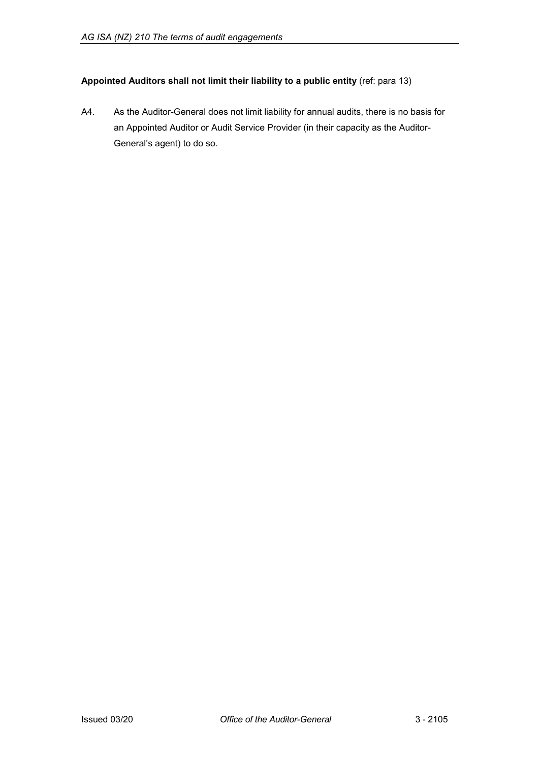## <span id="page-5-0"></span>**Appointed Auditors shall not limit their liability to a public entity** (ref: para 13)

A4. As the Auditor-General does not limit liability for annual audits, there is no basis for an Appointed Auditor or Audit Service Provider (in their capacity as the Auditor-General's agent) to do so.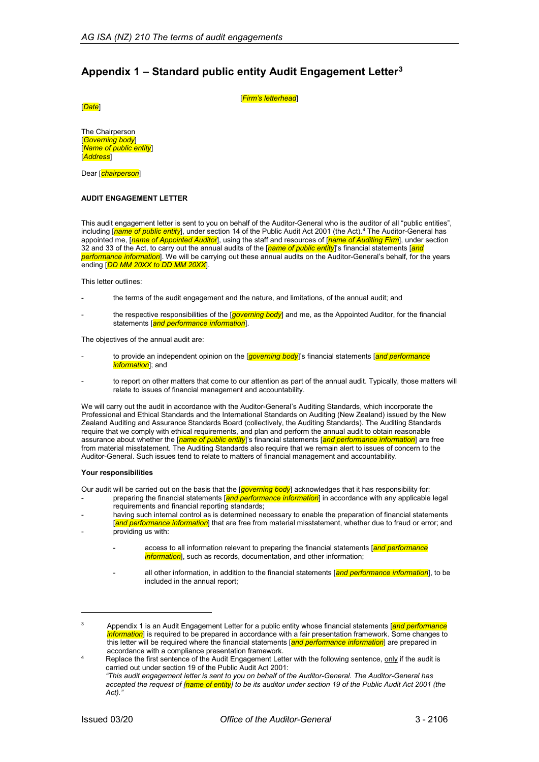## <span id="page-6-0"></span>**Appendix 1 – Standard public entity Audit Engagement Letter[3](#page-6-1)**

[*Date*]

[*Firm's letterhead*]

The Chairperson [*Governing body*] [*Name of public entity*] [*Address*]

Dear [*chairperson*]

#### **AUDIT ENGAGEMENT LETTER**

This audit engagement letter is sent to you on behalf of the Auditor-General who is the auditor of all "public entities", including [*name of public entity*], under section 14 of the Public Audit Act 2001 (the Act).[4](#page-6-2) The Auditor-General has appointed me, [*name of Appointed Auditor*], using the staff and resources of [*name of Auditing Firm*], under section 32 and 33 of the Act, to carry out the annual audits of the [*name of public entity*]'s financial statements [*and performance information*]. We will be carrying out these annual audits on the Auditor-General's behalf, for the years ending [*DD MM 20XX to DD MM 20XX*].

This letter outlines:

- the terms of the audit engagement and the nature, and limitations, of the annual audit; and
- the respective responsibilities of the [*governing body*] and me, as the Appointed Auditor, for the financial statements [*and performance information*].

The objectives of the annual audit are:

- to provide an independent opinion on the *[governing body*]'s financial statements *[and performance information*]; and
- to report on other matters that come to our attention as part of the annual audit. Typically, those matters will relate to issues of financial management and accountability.

We will carry out the audit in accordance with the Auditor-General's Auditing Standards, which incorporate the Professional and Ethical Standards and the International Standards on Auditing (New Zealand) issued by the New Zealand Auditing and Assurance Standards Board (collectively, the Auditing Standards). The Auditing Standards require that we comply with ethical requirements, and plan and perform the annual audit to obtain reasonable assurance about whether the [*name of public entity*]'s financial statements [*and performance information*] are free from material misstatement. The Auditing Standards also require that we remain alert to issues of concern to the Auditor-General. Such issues tend to relate to matters of financial management and accountability.

#### **Your responsibilities**

Our audit will be carried out on the basis that the [*governing body*] acknowledges that it has responsibility for:

- preparing the financial statements [*and performance information*] in accordance with any applicable legal requirements and financial reporting standards;
- having such internal control as is determined necessary to enable the preparation of financial statements [*and performance information*] that are free from material misstatement, whether due to fraud or error; and providing us with:
	- access to all information relevant to preparing the financial statements [*and performance information*, such as records, documentation, and other information;
	- all other information, in addition to the financial statements [*and performance information*], to be included in the annual report;

l

<span id="page-6-1"></span><sup>3</sup> Appendix 1 is an Audit Engagement Letter for a public entity whose financial statements [*and performance information*] is required to be prepared in accordance with a fair presentation framework. Some changes to this letter will be required where the financial statements [*and performance information*] are prepared in accordance with a compliance presentation framework.

<span id="page-6-2"></span>Replace the first sentence of the Audit Engagement Letter with the following sentence, only if the audit is carried out under section 19 of the Public Audit Act 2001:

*<sup>&</sup>quot;This audit engagement letter is sent to you on behalf of the Auditor-General. The Auditor-General has accepted the request of [name of entity] to be its auditor under section 19 of the Public Audit Act 2001 (the Act)."*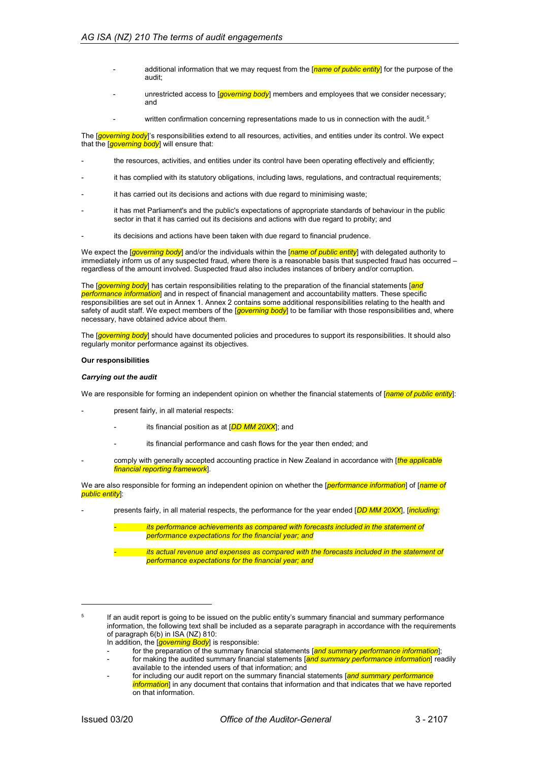- additional information that we may request from the [*name of public entity*] for the purpose of the audit;
- unrestricted access to [*governing body*] members and employees that we consider necessary; and
	- written confirmation concerning representations made to us in connection with the audit.<sup>5</sup>

The [*governing body*]'s responsibilities extend to all resources, activities, and entities under its control. We expect that the [*governing body*] will ensure that:

- the resources, activities, and entities under its control have been operating effectively and efficiently;
- it has complied with its statutory obligations, including laws, regulations, and contractual requirements;
- it has carried out its decisions and actions with due regard to minimising waste;
- it has met Parliament's and the public's expectations of appropriate standards of behaviour in the public sector in that it has carried out its decisions and actions with due regard to probity; and
- its decisions and actions have been taken with due regard to financial prudence.

We expect the [*governing body*] and/or the individuals within the [*name of public entity*] with delegated authority to immediately inform us of any suspected fraud, where there is a reasonable basis that suspected fraud has occurred – regardless of the amount involved. Suspected fraud also includes instances of bribery and/or corruption.

The [*governing body*] has certain responsibilities relating to the preparation of the financial statements [*and performance information*] and in respect of financial management and accountability matters. These specific responsibilities are set out in Annex 1. Annex 2 contains some additional responsibilities relating to the health and safety of audit staff. We expect members of the [*governing body*] to be familiar with those responsibilities and, where necessary, have obtained advice about them.

The [*governing body*] should have documented policies and procedures to support its responsibilities. It should also regularly monitor performance against its objectives.

#### **Our responsibilities**

#### *Carrying out the audit*

We are responsible for forming an independent opinion on whether the financial statements of *[name of public entity*]:

- present fairly, in all material respects:
	- its financial position as at [**DD MM 20XX**]; and
	- its financial performance and cash flows for the year then ended; and
- comply with generally accepted accounting practice in New Zealand in accordance with [*the applicable financial reporting framework*].

We are also responsible for forming an independent opinion on whether the [*performance information*] of [*name of public entity*]:

- presents fairly, in all material respects, the performance for the year ended [*DD MM 20XX*], [*including:*

*its performance achievements as compared with forecasts included in the statement of performance expectations for the financial year; and*

*- its actual revenue and expenses as compared with the forecasts included in the statement of performance expectations for the financial year; and*

- In addition, the [*governing Body*] is responsible:
- for the preparation of the summary financial statements [*and summary performance information*];
- for making the audited summary financial statements [*and summary performance information*] readily available to the intended users of that information; and
- for including our audit report on the summary financial statements [*and summary performance information*] in any document that contains that information and that indicates that we have reported on that information.

<span id="page-7-0"></span><sup>&</sup>lt;sup>5</sup> If an audit report is going to be issued on the public entity's summary financial and summary performance information, the following text shall be included as a separate paragraph in accordance with the requirements of paragraph 6(b) in ISA (NZ) 810: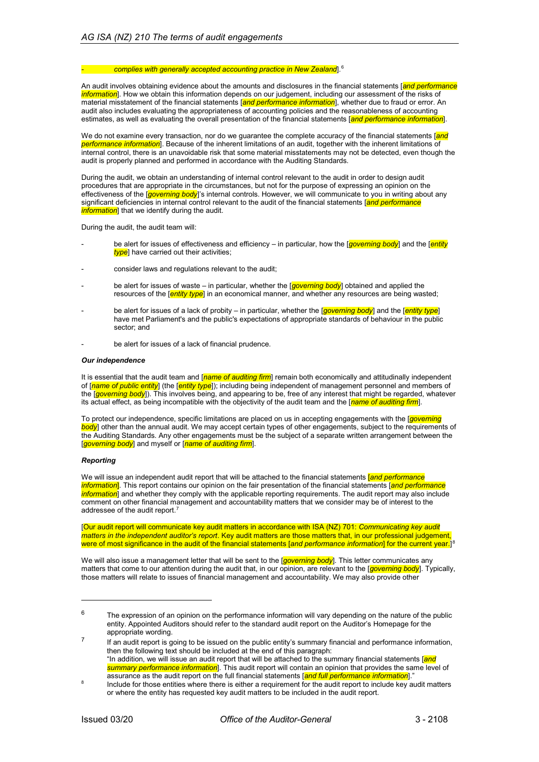#### *- complies with generally accepted accounting practice in New Zealand*]. [6](#page-8-0)

An audit involves obtaining evidence about the amounts and disclosures in the financial statements [*and performance information*]. How we obtain this information depends on our judgement, including our assessment of the risks of material misstatement of the financial statements [*and performance information*], whether due to fraud or error. An audit also includes evaluating the appropriateness of accounting policies and the reasonableness of accounting estimates, as well as evaluating the overall presentation of the financial statements [*and performance information*].

We do not examine every transaction, nor do we guarantee the complete accuracy of the financial statements [*and performance information*]. Because of the inherent limitations of an audit, together with the inherent limitations of internal control, there is an unavoidable risk that some material misstatements may not be detected, even though the audit is properly planned and performed in accordance with the Auditing Standards.

During the audit, we obtain an understanding of internal control relevant to the audit in order to design audit procedures that are appropriate in the circumstances, but not for the purpose of expressing an opinion on the effectiveness of the [*governing body*]'s internal controls. However, we will communicate to you in writing about any significant deficiencies in internal control relevant to the audit of the financial statements [*and performance information*] that we identify during the audit.

During the audit, the audit team will:

- be alert for issues of effectiveness and efficiency in particular, how the [*governing body*] and the [*entity type*] have carried out their activities;
- consider laws and regulations relevant to the audit:
- be alert for issues of waste in particular, whether the [*governing body*] obtained and applied the resources of the [*entity type*] in an economical manner, and whether any resources are being wasted;
- be alert for issues of a lack of probity in particular, whether the [*governing body*] and the [*entity type*] have met Parliament's and the public's expectations of appropriate standards of behaviour in the public sector; and
- be alert for issues of a lack of financial prudence.

#### *Our independence*

It is essential that the audit team and [*name of auditing firm*] remain both economically and attitudinally independent of [*name of public entity*] (the [*entity type*]); including being independent of management personnel and members of the [*governing body*]). This involves being, and appearing to be, free of any interest that might be regarded, whatever its actual effect, as being incompatible with the objectivity of the audit team and the [*name of auditing firm*].

To protect our independence, specific limitations are placed on us in accepting engagements with the [*governing body*] other than the annual audit. We may accept certain types of other engagements, subject to the requirements of the Auditing Standards. Any other engagements must be the subject of a separate written arrangement between the [*governing body*] and myself or [*name of auditing firm*].

#### *Reporting*

-

We will issue an independent audit report that will be attached to the financial statements [*and performance information*]. This report contains our opinion on the fair presentation of the financial statements [*and performance information*] and whether they comply with the applicable reporting requirements. The audit report may also include comment on other financial management and accountability matters that we consider may be of interest to the addressee of the audit report. [7](#page-8-1)

[Our audit report will communicate key audit matters in accordance with ISA (NZ) 701: *Communicating key audit matters in the independent auditor's report*. Key audit matters are those matters that, in our professional judgement, were of most significance in the audit of the financial statements [*and performance information*] for the current year.] [8](#page-8-2)

We will also issue a management letter that will be sent to the [*governing body*]. This letter communicates any matters that come to our attention during the audit that, in our opinion, are relevant to the [*governing body*]. Typically, those matters will relate to issues of financial management and accountability. We may also provide other

<span id="page-8-0"></span> $6$  The expression of an opinion on the performance information will vary depending on the nature of the public entity. Appointed Auditors should refer to the standard audit report on the Auditor's Homepage for the appropriate wording.

<span id="page-8-1"></span>If an audit report is going to be issued on the public entity's summary financial and performance information, then the following text should be included at the end of this paragraph: "In addition, we will issue an audit report that will be attached to the summary financial statements [*and summary performance information*]. This audit report will contain an opinion that provides the same level of

<span id="page-8-2"></span>assurance as the audit report on the full financial statements [*and full performance information*]." <sup>8</sup> Include for those entities where there is either a requirement for the audit report to include key audit matters or where the entity has requested key audit matters to be included in the audit report.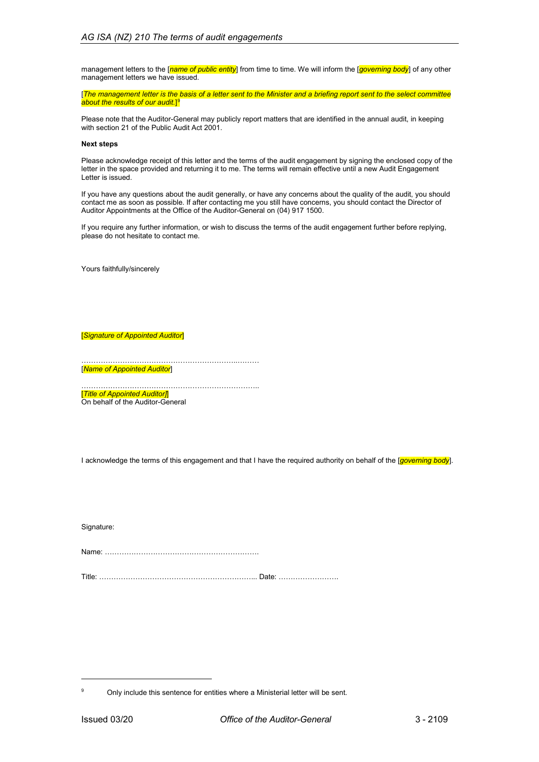management letters to the [*name of public entity*] from time to time. We will inform the [*governing body*] of any other management letters we have issued.

[*The management letter is the basis of a letter sent to the Minister and a briefing report sent to the select committee about the results of our audit.*] [9](#page-9-0)

Please note that the Auditor-General may publicly report matters that are identified in the annual audit, in keeping with section 21 of the Public Audit Act 2001.

#### **Next steps**

Please acknowledge receipt of this letter and the terms of the audit engagement by signing the enclosed copy of the letter in the space provided and returning it to me. The terms will remain effective until a new Audit Engagement Letter is issued.

If you have any questions about the audit generally, or have any concerns about the quality of the audit, you should contact me as soon as possible. If after contacting me you still have concerns, you should contact the Director of Auditor Appointments at the Office of the Auditor-General on (04) 917 1500.

If you require any further information, or wish to discuss the terms of the audit engagement further before replying, please do not hesitate to contact me.

Yours faithfully/sincerely

[*Signature of Appointed Auditor*]

………………………………………………………..……… [*Name of Appointed Auditor*]

……………………………………………………………….. [*Title of Appointed Auditor]*] On behalf of the Auditor-General

I acknowledge the terms of this engagement and that I have the required authority on behalf of the [*governing body*].

Signature:

Name: ………………………………………………………. Title: ………………………………………………………... Date: …………………….

<span id="page-9-0"></span><sup>9</sup> Only include this sentence for entities where a Ministerial letter will be sent.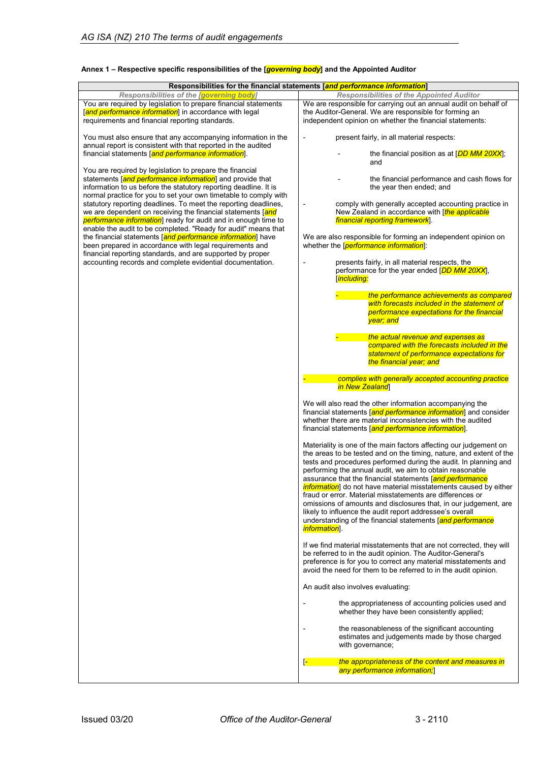| Responsibilities for the financial statements [and performance information]                                                                                                                                                                                   |                                                                                                                                                                                                                                                                                                                                                                                                                                                                                                                                                                                                                                                                                                      |
|---------------------------------------------------------------------------------------------------------------------------------------------------------------------------------------------------------------------------------------------------------------|------------------------------------------------------------------------------------------------------------------------------------------------------------------------------------------------------------------------------------------------------------------------------------------------------------------------------------------------------------------------------------------------------------------------------------------------------------------------------------------------------------------------------------------------------------------------------------------------------------------------------------------------------------------------------------------------------|
| Responsibilities of the laoverning body                                                                                                                                                                                                                       | <b>Responsibilities of the Appointed Auditor</b>                                                                                                                                                                                                                                                                                                                                                                                                                                                                                                                                                                                                                                                     |
| You are required by legislation to prepare financial statements<br>[and performance information] in accordance with legal<br>requirements and financial reporting standards.                                                                                  | We are responsible for carrying out an annual audit on behalf of<br>the Auditor-General. We are responsible for forming an<br>independent opinion on whether the financial statements:                                                                                                                                                                                                                                                                                                                                                                                                                                                                                                               |
| You must also ensure that any accompanying information in the<br>annual report is consistent with that reported in the audited                                                                                                                                | present fairly, in all material respects:                                                                                                                                                                                                                                                                                                                                                                                                                                                                                                                                                                                                                                                            |
| financial statements [and performance information].                                                                                                                                                                                                           | the financial position as at [DD MM 20XX];<br>and                                                                                                                                                                                                                                                                                                                                                                                                                                                                                                                                                                                                                                                    |
| You are required by legislation to prepare the financial<br>statements land performance information] and provide that<br>information to us before the statutory reporting deadline. It is<br>normal practice for you to set your own timetable to comply with | the financial performance and cash flows for<br>the year then ended; and                                                                                                                                                                                                                                                                                                                                                                                                                                                                                                                                                                                                                             |
| statutory reporting deadlines. To meet the reporting deadlines,<br>we are dependent on receiving the financial statements [and<br>performance information] ready for audit and in enough time to                                                              | comply with generally accepted accounting practice in<br>New Zealand in accordance with [ <i>the applicable</i><br>financial reporting framework].                                                                                                                                                                                                                                                                                                                                                                                                                                                                                                                                                   |
| enable the audit to be completed. "Ready for audit" means that<br>the financial statements [and performance information] have<br>been prepared in accordance with legal requirements and<br>financial reporting standards, and are supported by proper        | We are also responsible for forming an independent opinion on<br>whether the [ <i>performance information</i> ]:                                                                                                                                                                                                                                                                                                                                                                                                                                                                                                                                                                                     |
| accounting records and complete evidential documentation.                                                                                                                                                                                                     | presents fairly, in all material respects, the<br>performance for the year ended [DD MM 20XX],<br><b>[including:</b>                                                                                                                                                                                                                                                                                                                                                                                                                                                                                                                                                                                 |
|                                                                                                                                                                                                                                                               | the performance achievements as compared<br>with forecasts included in the statement of<br>performance expectations for the financial<br>year; and                                                                                                                                                                                                                                                                                                                                                                                                                                                                                                                                                   |
|                                                                                                                                                                                                                                                               | the actual revenue and expenses as<br>compared with the forecasts included in the<br>statement of performance expectations for<br>the financial year; and                                                                                                                                                                                                                                                                                                                                                                                                                                                                                                                                            |
|                                                                                                                                                                                                                                                               | complies with generally accepted accounting practice<br>in New Zealand                                                                                                                                                                                                                                                                                                                                                                                                                                                                                                                                                                                                                               |
|                                                                                                                                                                                                                                                               | We will also read the other information accompanying the<br>financial statements [and performance information] and consider<br>whether there are material inconsistencies with the audited<br>financial statements [and performance information].                                                                                                                                                                                                                                                                                                                                                                                                                                                    |
|                                                                                                                                                                                                                                                               | Materiality is one of the main factors affecting our judgement on<br>the areas to be tested and on the timing, nature, and extent of the<br>tests and procedures performed during the audit. In planning and<br>performing the annual audit, we aim to obtain reasonable<br>assurance that the financial statements [and performance<br><i>information</i> ] do not have material misstatements caused by either<br>fraud or error. Material misstatements are differences or<br>omissions of amounts and disclosures that, in our judgement, are<br>likely to influence the audit report addressee's overall<br>understanding of the financial statements [and performance<br><i>information</i> ]. |
|                                                                                                                                                                                                                                                               | If we find material misstatements that are not corrected, they will<br>be referred to in the audit opinion. The Auditor-General's<br>preference is for you to correct any material misstatements and<br>avoid the need for them to be referred to in the audit opinion.                                                                                                                                                                                                                                                                                                                                                                                                                              |
|                                                                                                                                                                                                                                                               | An audit also involves evaluating:                                                                                                                                                                                                                                                                                                                                                                                                                                                                                                                                                                                                                                                                   |
|                                                                                                                                                                                                                                                               | the appropriateness of accounting policies used and<br>whether they have been consistently applied;                                                                                                                                                                                                                                                                                                                                                                                                                                                                                                                                                                                                  |
|                                                                                                                                                                                                                                                               | the reasonableness of the significant accounting<br>estimates and judgements made by those charged<br>with governance;                                                                                                                                                                                                                                                                                                                                                                                                                                                                                                                                                                               |
|                                                                                                                                                                                                                                                               | the appropriateness of the content and measures in<br>E<br>any performance information;]                                                                                                                                                                                                                                                                                                                                                                                                                                                                                                                                                                                                             |

### **Annex 1 – Respective specific responsibilities of the [***governing body***] and the Appointed Auditor**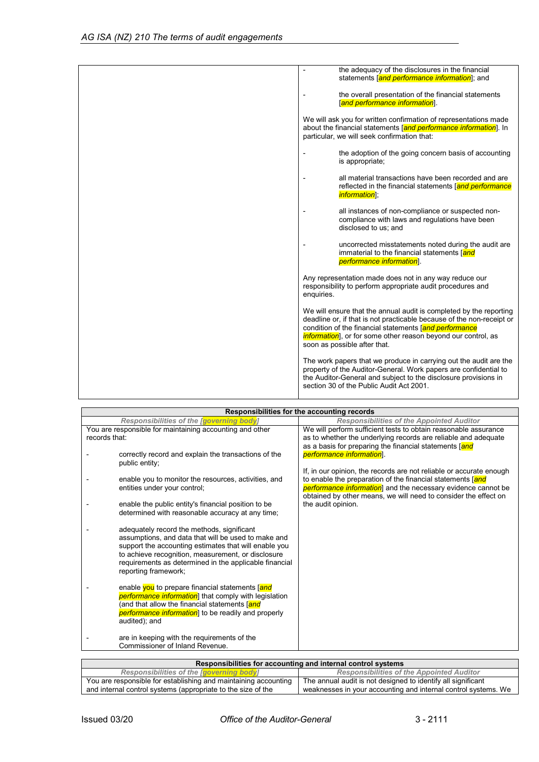| the adequacy of the disclosures in the financial<br>$\blacksquare$<br>statements land performance information]; and                                                                                                                                                                                           |
|---------------------------------------------------------------------------------------------------------------------------------------------------------------------------------------------------------------------------------------------------------------------------------------------------------------|
| the overall presentation of the financial statements<br>[and performance information].                                                                                                                                                                                                                        |
| We will ask you for written confirmation of representations made<br>about the financial statements [and performance information]. In<br>particular, we will seek confirmation that:                                                                                                                           |
| the adoption of the going concern basis of accounting<br>is appropriate;                                                                                                                                                                                                                                      |
| all material transactions have been recorded and are<br>reflected in the financial statements [and performance<br><i>information</i> ];                                                                                                                                                                       |
| all instances of non-compliance or suspected non-<br>compliance with laws and regulations have been<br>disclosed to us; and                                                                                                                                                                                   |
| uncorrected misstatements noted during the audit are<br>immaterial to the financial statements [and<br><i>performance information</i> ].                                                                                                                                                                      |
| Any representation made does not in any way reduce our<br>responsibility to perform appropriate audit procedures and<br>enquiries.                                                                                                                                                                            |
| We will ensure that the annual audit is completed by the reporting<br>deadline or, if that is not practicable because of the non-receipt or<br>condition of the financial statements [and performance<br><i>information</i> , or for some other reason beyond our control, as<br>soon as possible after that. |
| The work papers that we produce in carrying out the audit are the<br>property of the Auditor-General. Work papers are confidential to<br>the Auditor-General and subject to the disclosure provisions in<br>section 30 of the Public Audit Act 2001.                                                          |

| Responsibilities for the accounting records                                                                                                                                                                                                                                                        |                                                                                                                                                                                                        |
|----------------------------------------------------------------------------------------------------------------------------------------------------------------------------------------------------------------------------------------------------------------------------------------------------|--------------------------------------------------------------------------------------------------------------------------------------------------------------------------------------------------------|
| Responsibilities of the [governing body]                                                                                                                                                                                                                                                           | <b>Responsibilities of the Appointed Auditor</b>                                                                                                                                                       |
| You are responsible for maintaining accounting and other<br>records that:                                                                                                                                                                                                                          | We will perform sufficient tests to obtain reasonable assurance<br>as to whether the underlying records are reliable and adequate<br>as a basis for preparing the financial statements [and            |
| correctly record and explain the transactions of the<br>public entity;                                                                                                                                                                                                                             | performance information.<br>If, in our opinion, the records are not reliable or accurate enough                                                                                                        |
| enable you to monitor the resources, activities, and<br>entities under your control;                                                                                                                                                                                                               | to enable the preparation of the financial statements [and<br><i>performance information</i> ] and the necessary evidence cannot be<br>obtained by other means, we will need to consider the effect on |
| enable the public entity's financial position to be<br>determined with reasonable accuracy at any time;                                                                                                                                                                                            | the audit opinion.                                                                                                                                                                                     |
| adequately record the methods, significant<br>assumptions, and data that will be used to make and<br>support the accounting estimates that will enable you<br>to achieve recognition, measurement, or disclosure<br>requirements as determined in the applicable financial<br>reporting framework; |                                                                                                                                                                                                        |
| enable you to prepare financial statements [and<br><i>performance information</i> ] that comply with legislation<br>(and that allow the financial statements [ <mark>and</mark><br>performance information] to be readily and properly<br>audited); and                                            |                                                                                                                                                                                                        |
| are in keeping with the requirements of the<br>Commissioner of Inland Revenue.                                                                                                                                                                                                                     |                                                                                                                                                                                                        |

| Responsibilities for accounting and internal control systems    |                                                                |
|-----------------------------------------------------------------|----------------------------------------------------------------|
| Responsibilities of the faoverning bodyl                        | <b>Responsibilities of the Appointed Auditor</b>               |
| You are responsible for establishing and maintaining accounting | The annual audit is not designed to identify all significant   |
| and internal control systems (appropriate to the size of the    | weaknesses in your accounting and internal control systems. We |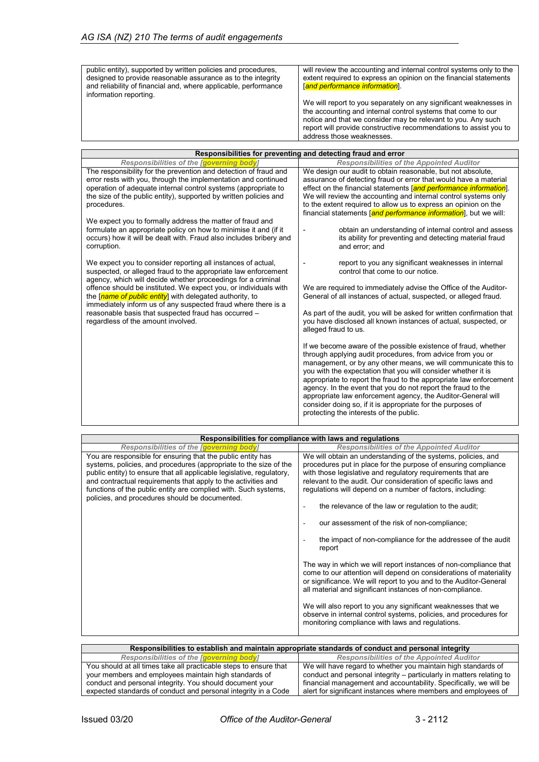| public entity), supported by written policies and procedures,<br>designed to provide reasonable assurance as to the integrity<br>and reliability of financial and, where applicable, performance<br>information reporting. | will review the accounting and internal control systems only to the<br>extent required to express an opinion on the financial statements<br><b>[and performance information].</b>                                                                                                                   |
|----------------------------------------------------------------------------------------------------------------------------------------------------------------------------------------------------------------------------|-----------------------------------------------------------------------------------------------------------------------------------------------------------------------------------------------------------------------------------------------------------------------------------------------------|
|                                                                                                                                                                                                                            | We will report to you separately on any significant weaknesses in<br>the accounting and internal control systems that come to our<br>notice and that we consider may be relevant to you. Any such<br>report will provide constructive recommendations to assist you to<br>address those weaknesses. |

| Responsibilities for preventing and detecting fraud and error                                                                                                                                                                                                                            |                                                                                                                                                                                                                                                                                                                                                                                                                                                                                                                                                                                 |  |
|------------------------------------------------------------------------------------------------------------------------------------------------------------------------------------------------------------------------------------------------------------------------------------------|---------------------------------------------------------------------------------------------------------------------------------------------------------------------------------------------------------------------------------------------------------------------------------------------------------------------------------------------------------------------------------------------------------------------------------------------------------------------------------------------------------------------------------------------------------------------------------|--|
| Responsibilities of the [governing body]                                                                                                                                                                                                                                                 | <b>Responsibilities of the Appointed Auditor</b>                                                                                                                                                                                                                                                                                                                                                                                                                                                                                                                                |  |
| The responsibility for the prevention and detection of fraud and<br>error rests with you, through the implementation and continued<br>operation of adequate internal control systems (appropriate to<br>the size of the public entity), supported by written policies and<br>procedures. | We design our audit to obtain reasonable, but not absolute,<br>assurance of detecting fraud or error that would have a material<br>effect on the financial statements [and performance information].<br>We will review the accounting and internal control systems only<br>to the extent required to allow us to express an opinion on the<br>financial statements [and performance information], but we will:                                                                                                                                                                  |  |
| We expect you to formally address the matter of fraud and<br>formulate an appropriate policy on how to minimise it and (if it<br>occurs) how it will be dealt with. Fraud also includes bribery and<br>corruption.                                                                       | obtain an understanding of internal control and assess<br>its ability for preventing and detecting material fraud<br>and error; and                                                                                                                                                                                                                                                                                                                                                                                                                                             |  |
| We expect you to consider reporting all instances of actual,<br>suspected, or alleged fraud to the appropriate law enforcement<br>agency, which will decide whether proceedings for a criminal<br>offence should be instituted. We expect you, or individuals with                       | report to you any significant weaknesses in internal<br>control that come to our notice.<br>We are required to immediately advise the Office of the Auditor-                                                                                                                                                                                                                                                                                                                                                                                                                    |  |
| the [name of public entity] with delegated authority, to<br>immediately inform us of any suspected fraud where there is a                                                                                                                                                                | General of all instances of actual, suspected, or alleged fraud.                                                                                                                                                                                                                                                                                                                                                                                                                                                                                                                |  |
| reasonable basis that suspected fraud has occurred -<br>regardless of the amount involved.                                                                                                                                                                                               | As part of the audit, you will be asked for written confirmation that<br>you have disclosed all known instances of actual, suspected, or<br>alleged fraud to us.                                                                                                                                                                                                                                                                                                                                                                                                                |  |
|                                                                                                                                                                                                                                                                                          | If we become aware of the possible existence of fraud, whether<br>through applying audit procedures, from advice from you or<br>management, or by any other means, we will communicate this to<br>you with the expectation that you will consider whether it is<br>appropriate to report the fraud to the appropriate law enforcement<br>agency. In the event that you do not report the fraud to the<br>appropriate law enforcement agency, the Auditor-General will<br>consider doing so, if it is appropriate for the purposes of<br>protecting the interests of the public. |  |

| Responsibilities for compliance with laws and regulations                                                                                                                                                                                                                                                                                                                                       |                                                                                                                                                                                                                                                                                                                                                                                                                                                                                                                                                                                                                                                                                                                                                                                                                                                                                                                                                                                       |
|-------------------------------------------------------------------------------------------------------------------------------------------------------------------------------------------------------------------------------------------------------------------------------------------------------------------------------------------------------------------------------------------------|---------------------------------------------------------------------------------------------------------------------------------------------------------------------------------------------------------------------------------------------------------------------------------------------------------------------------------------------------------------------------------------------------------------------------------------------------------------------------------------------------------------------------------------------------------------------------------------------------------------------------------------------------------------------------------------------------------------------------------------------------------------------------------------------------------------------------------------------------------------------------------------------------------------------------------------------------------------------------------------|
| Responsibilities of the lgoverning bodyl                                                                                                                                                                                                                                                                                                                                                        | <b>Responsibilities of the Appointed Auditor</b>                                                                                                                                                                                                                                                                                                                                                                                                                                                                                                                                                                                                                                                                                                                                                                                                                                                                                                                                      |
| You are responsible for ensuring that the public entity has<br>systems, policies, and procedures (appropriate to the size of the<br>public entity) to ensure that all applicable legislative, regulatory,<br>and contractual requirements that apply to the activities and<br>functions of the public entity are complied with. Such systems,<br>policies, and procedures should be documented. | We will obtain an understanding of the systems, policies, and<br>procedures put in place for the purpose of ensuring compliance<br>with those legislative and regulatory requirements that are<br>relevant to the audit. Our consideration of specific laws and<br>regulations will depend on a number of factors, including:<br>the relevance of the law or regulation to the audit;<br>our assessment of the risk of non-compliance;<br>the impact of non-compliance for the addressee of the audit<br>report<br>The way in which we will report instances of non-compliance that<br>come to our attention will depend on considerations of materiality<br>or significance. We will report to you and to the Auditor-General<br>all material and significant instances of non-compliance.<br>We will also report to you any significant weaknesses that we<br>observe in internal control systems, policies, and procedures for<br>monitoring compliance with laws and regulations. |

| Responsibilities to establish and maintain appropriate standards of conduct and personal integrity |                                                                      |
|----------------------------------------------------------------------------------------------------|----------------------------------------------------------------------|
| Responsibilities of the [governing body]                                                           | <b>Responsibilities of the Appointed Auditor</b>                     |
| You should at all times take all practicable steps to ensure that                                  | We will have regard to whether you maintain high standards of        |
| your members and employees maintain high standards of                                              | conduct and personal integrity - particularly in matters relating to |
| conduct and personal integrity. You should document your                                           | financial management and accountability. Specifically, we will be    |
| expected standards of conduct and personal integrity in a Code                                     | alert for significant instances where members and employees of       |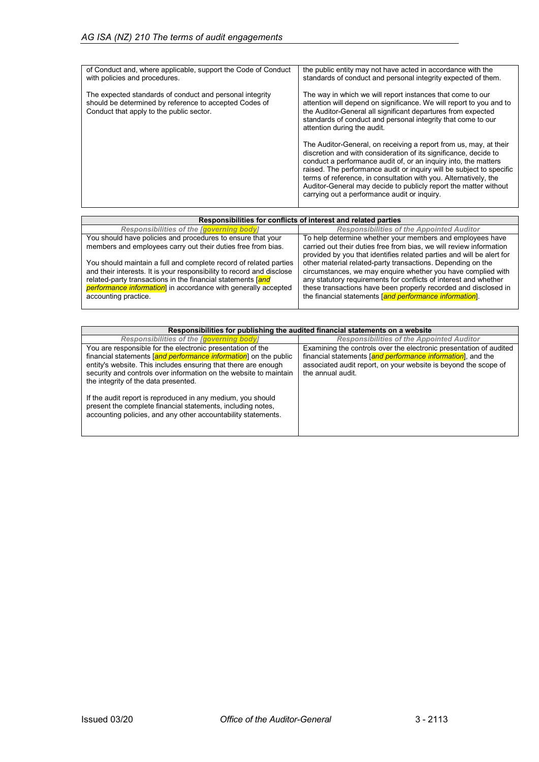| of Conduct and, where applicable, support the Code of Conduct<br>with policies and procedures.                                                                 | the public entity may not have acted in accordance with the<br>standards of conduct and personal integrity expected of them.                                                                                                                                                                                                                                                                                                                                             |
|----------------------------------------------------------------------------------------------------------------------------------------------------------------|--------------------------------------------------------------------------------------------------------------------------------------------------------------------------------------------------------------------------------------------------------------------------------------------------------------------------------------------------------------------------------------------------------------------------------------------------------------------------|
| The expected standards of conduct and personal integrity<br>should be determined by reference to accepted Codes of<br>Conduct that apply to the public sector. | The way in which we will report instances that come to our<br>attention will depend on significance. We will report to you and to<br>the Auditor-General all significant departures from expected<br>standards of conduct and personal integrity that come to our<br>attention during the audit.                                                                                                                                                                         |
|                                                                                                                                                                | The Auditor-General, on receiving a report from us, may, at their<br>discretion and with consideration of its significance, decide to<br>conduct a performance audit of, or an inquiry into, the matters<br>raised. The performance audit or inquiry will be subject to specific<br>terms of reference, in consultation with you. Alternatively, the<br>Auditor-General may decide to publicly report the matter without<br>carrying out a performance audit or inquiry. |

| Responsibilities for conflicts of interest and related parties                                                                             |                                                                                                                                              |
|--------------------------------------------------------------------------------------------------------------------------------------------|----------------------------------------------------------------------------------------------------------------------------------------------|
| Responsibilities of the <i>[governing body]</i>                                                                                            | <b>Responsibilities of the Appointed Auditor</b>                                                                                             |
| You should have policies and procedures to ensure that your                                                                                | To help determine whether your members and employees have                                                                                    |
| members and employees carry out their duties free from bias.                                                                               | carried out their duties free from bias, we will review information<br>provided by you that identifies related parties and will be alert for |
| You should maintain a full and complete record of related parties<br>and their interests. It is your responsibility to record and disclose | other material related-party transactions. Depending on the<br>circumstances, we may enquire whether you have complied with                  |
| related-party transactions in the financial statements [and<br><b>performance information</b> in accordance with generally accepted        | any statutory requirements for conflicts of interest and whether<br>these transactions have been properly recorded and disclosed in          |
| accounting practice.                                                                                                                       | the financial statements [and performance information].                                                                                      |

| Responsibilities for publishing the audited financial statements on a website |                                                                    |
|-------------------------------------------------------------------------------|--------------------------------------------------------------------|
| Responsibilities of the <i>[governing body]</i>                               | <b>Responsibilities of the Appointed Auditor</b>                   |
| You are responsible for the electronic presentation of the                    | Examining the controls over the electronic presentation of audited |
| financial statements [and performance information] on the public              | financial statements [and performance information], and the        |
| entity's website. This includes ensuring that there are enough                | associated audit report, on your website is beyond the scope of    |
| security and controls over information on the website to maintain             | the annual audit.                                                  |
| the integrity of the data presented.                                          |                                                                    |
|                                                                               |                                                                    |
| If the audit report is reproduced in any medium, you should                   |                                                                    |
| present the complete financial statements, including notes,                   |                                                                    |
| accounting policies, and any other accountability statements.                 |                                                                    |
|                                                                               |                                                                    |
|                                                                               |                                                                    |